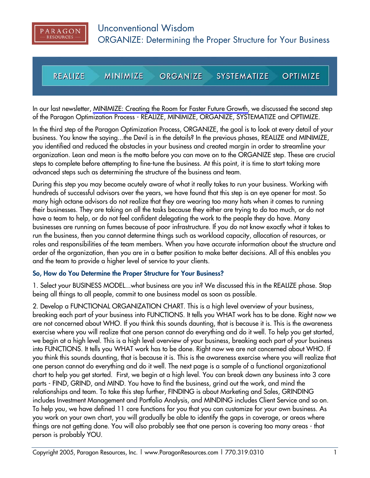

**REALIZE MINIMIZE OPTIMIZE ORGANIZE SYSTEMATIZE** 

In our last newsletter, [MINIMIZE: Creating the Room for Faster Future Growth,](http://www.ParagonResources.com/library/oyb2.pdf) we discussed the second step of the Paragon Optimization Process - REALIZE, MINIMIZE, ORGANIZE, SYSTEMATIZE and OPTIMIZE.

In the third step of the Paragon Optimization Process, ORGANIZE, the goal is to look at every detail of your business. You know the saying...the Devil is in the details? In the previous phases, REALIZE and MINIMIZE, you identified and reduced the obstacles in your business and created margin in order to streamline your organization. Lean and mean is the motto before you can move on to the ORGANIZE step. These are crucial steps to complete before attempting to fine-tune the business. At this point, it is time to start taking more advanced steps such as determining the structure of the business and team.

During this step you may become acutely aware of what it really takes to run your business. Working with hundreds of successful advisors over the years, we have found that this step is an eye opener for most. So many high octane advisors do not realize that they are wearing too many hats when it comes to running their businesses. They are taking on all the tasks because they either are trying to do too much, or do not have a team to help, or do not feel confident delegating the work to the people they do have. Many businesses are running on fumes because of poor infrastructure. If you do not know exactly what it takes to run the business, then you cannot determine things such as workload capacity, allocation of resources, or roles and responsibilities of the team members. When you have accurate information about the structure and order of the organization, then you are in a better position to make better decisions. All of this enables you and the team to provide a higher level of service to your clients.

## **So, How do You Determine the Proper Structure for Your Business?**

1. Select your BUSINESS MODEL...what business are you in? We discussed this in the REALIZE phase. Stop being all things to all people, commit to one business model as soon as possible.

2. Develop a FUNCTIONAL ORGANIZATION CHART. This is a high level overview of your business, breaking each part of your business into FUNCTIONS. It tells you WHAT work has to be done. Right now we are not concerned about WHO. If you think this sounds daunting, that is because it is. This is the awareness exercise where you will realize that one person cannot do everything and do it well. To help you get started, we begin at a high level. This is a high level overview of your business, breaking each part of your business into FUNCTIONS. It tells you WHAT work has to be done. Right now we are not concerned about WHO. If you think this sounds daunting, that is because it is. This is the awareness exercise where you will realize that one person cannot do everything and do it well. The next page is a sample of a functional organizational chart to help you get started. First, we begin at a high level. You can break down any business into 3 core parts - FIND, GRIND, and MIND. You have to find the business, grind out the work, and mind the relationships and team. To take this step further, FINDING is about Marketing and Sales, GRINDING includes Investment Management and Portfolio Analysis, and MINDING includes Client Service and so on. To help you, we have defined 11 core functions for you that you can customize for your own business. As you work on your own chart, you will gradually be able to identify the gaps in coverage, or areas where things are not getting done. You will also probably see that one person is covering too many areas - that person is probably YOU.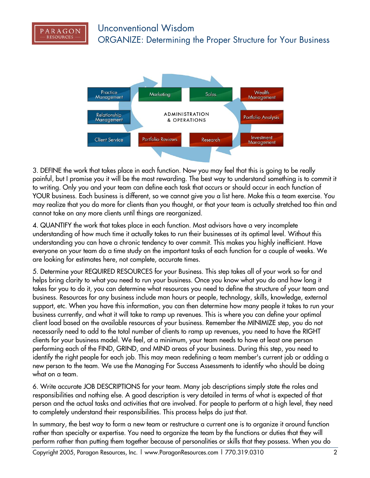



3. DEFINE the work that takes place in each function. Now you may feel that this is going to be really painful, but I promise you it will be the most rewarding. The best way to understand something is to commit it to writing. Only you and your team can define each task that occurs or should occur in each function of YOUR business. Each business is different, so we cannot give you a list here. Make this a team exercise. You may realize that you do more for clients than you thought, or that your team is actually stretched too thin and cannot take on any more clients until things are reorganized.

4. QUANTIFY the work that takes place in each function. Most advisors have a very incomplete understanding of how much time it actually takes to run their businesses at its optimal level. Without this understanding you can have a chronic tendency to over commit. This makes you highly inefficient. Have everyone on your team do a time study on the important tasks of each function for a couple of weeks. We are looking for estimates here, not complete, accurate times.

5. Determine your REQUIRED RESOURCES for your Business. This step takes all of your work so far and helps bring clarity to what you need to run your business. Once you know what you do and how long it takes for you to do it, you can determine what resources you need to define the structure of your team and business. Resources for any business include man hours or people, technology, skills, knowledge, external support, etc. When you have this information, you can then determine how many people it takes to run your business currently, and what it will take to ramp up revenues. This is where you can define your optimal client load based on the available resources of your business. Remember the MINIMIZE step, you do not necessarily need to add to the total number of clients to ramp up revenues, you need to have the RIGHT clients for your business model. We feel, at a minimum, your team needs to have at least one person performing each of the FIND, GRIND, and MIND areas of your business. During this step, you need to identify the right people for each job. This may mean redefining a team member's current job or adding a new person to the team. We use the Managing For Success Assessments to identify who should be doing what on a team.

6. Write accurate JOB DESCRIPTIONS for your team. Many job descriptions simply state the roles and responsibilities and nothing else. A good description is very detailed in terms of what is expected of that person and the actual tasks and activities that are involved. For people to perform at a high level, they need to completely understand their responsibilities. This process helps do just that.

In summary, the best way to form a new team or restructure a current one is to organize it around function rather than specialty or expertise. You need to organize the team by the functions or duties that they will perform rather than putting them together because of personalities or skills that they possess. When you do